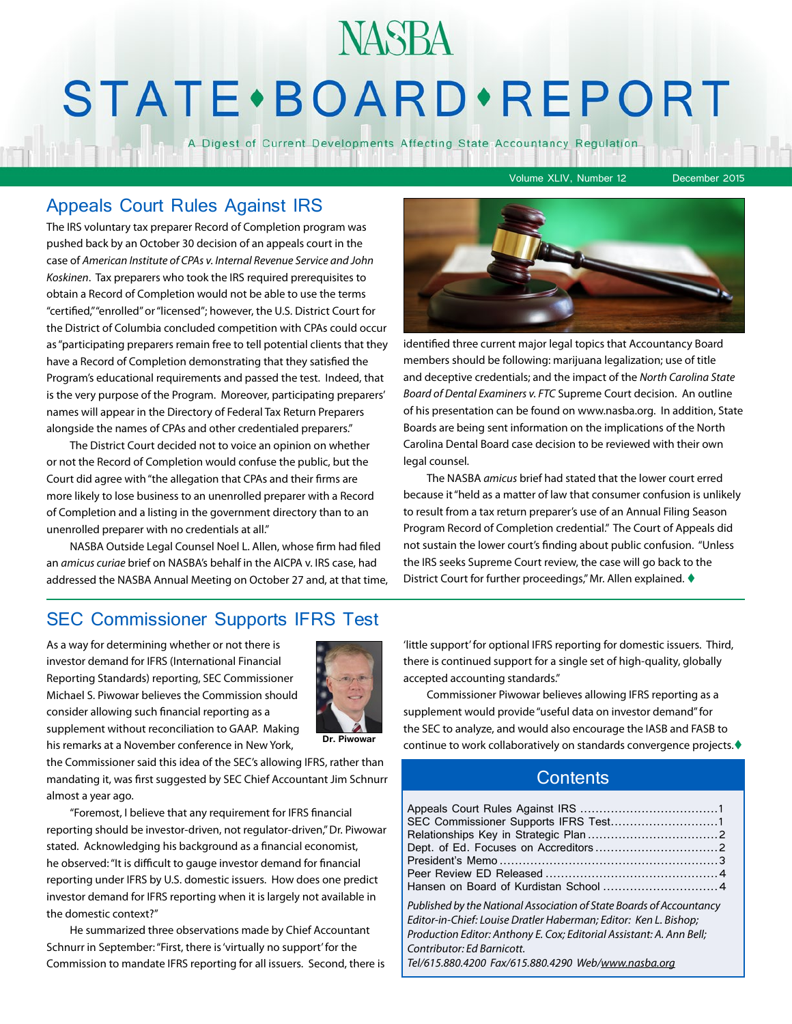# **NASBA STATE** · BOARD · REPORT

A Digest of Current Developments Affecting State Accountancy Regulation

Volume XLIV, Number 12 December 2015

### Appeals Court Rules Against IRS

The IRS voluntary tax preparer Record of Completion program was pushed back by an October 30 decision of an appeals court in the case of *American Institute of CPAs v. Internal Revenue Service and John Koskinen*. Tax preparers who took the IRS required prerequisites to obtain a Record of Completion would not be able to use the terms "certified," "enrolled" or "licensed"; however, the U.S. District Court for the District of Columbia concluded competition with CPAs could occur as "participating preparers remain free to tell potential clients that they have a Record of Completion demonstrating that they satisfied the Program's educational requirements and passed the test. Indeed, that is the very purpose of the Program. Moreover, participating preparers' names will appear in the Directory of Federal Tax Return Preparers alongside the names of CPAs and other credentialed preparers."

The District Court decided not to voice an opinion on whether or not the Record of Completion would confuse the public, but the Court did agree with "the allegation that CPAs and their firms are more likely to lose business to an unenrolled preparer with a Record of Completion and a listing in the government directory than to an unenrolled preparer with no credentials at all."

NASBA Outside Legal Counsel Noel L. Allen, whose firm had filed an *amicus curiae* brief on NASBA's behalf in the AICPA v. IRS case, had addressed the NASBA Annual Meeting on October 27 and, at that time,



identified three current major legal topics that Accountancy Board members should be following: marijuana legalization; use of title and deceptive credentials; and the impact of the *North Carolina State Board of Dental Examiners v. FTC* Supreme Court decision. An outline of his presentation can be found on www.nasba.org. In addition, State Boards are being sent information on the implications of the North Carolina Dental Board case decision to be reviewed with their own legal counsel.

The NASBA *amicus* brief had stated that the lower court erred because it "held as a matter of law that consumer confusion is unlikely to result from a tax return preparer's use of an Annual Filing Season Program Record of Completion credential." The Court of Appeals did not sustain the lower court's finding about public confusion. "Unless the IRS seeks Supreme Court review, the case will go back to the District Court for further proceedings," Mr. Allen explained. ♦

### SEC Commissioner Supports IFRS Test

As a way for determining whether or not there is investor demand for IFRS (International Financial Reporting Standards) reporting, SEC Commissioner Michael S. Piwowar believes the Commission should consider allowing such financial reporting as a supplement without reconciliation to GAAP. Making his remarks at a November conference in New York,



**Dr. Piwowar**

the Commissioner said this idea of the SEC's allowing IFRS, rather than mandating it, was first suggested by SEC Chief Accountant Jim Schnurr almost a year ago.

"Foremost, I believe that any requirement for IFRS financial reporting should be investor-driven, not regulator-driven," Dr. Piwowar stated. Acknowledging his background as a financial economist, he observed: "It is difficult to gauge investor demand for financial reporting under IFRS by U.S. domestic issuers. How does one predict investor demand for IFRS reporting when it is largely not available in the domestic context?"

He summarized three observations made by Chief Accountant Schnurr in September: "First, there is 'virtually no support' for the Commission to mandate IFRS reporting for all issuers. Second, there is 'little support' for optional IFRS reporting for domestic issuers. Third, there is continued support for a single set of high-quality, globally accepted accounting standards."

Commissioner Piwowar believes allowing IFRS reporting as a supplement would provide "useful data on investor demand" for the SEC to analyze, and would also encourage the IASB and FASB to continue to work collaboratively on standards convergence projects.

### **Contents**

| SEC Commissioner Supports IFRS Test1                                 |  |
|----------------------------------------------------------------------|--|
|                                                                      |  |
|                                                                      |  |
|                                                                      |  |
|                                                                      |  |
|                                                                      |  |
| Published by the National Association of State Boards of Accountancy |  |
| Editor-in-Chief: Louise Dratler Haberman; Editor: Ken L. Bishop;     |  |
| Production Editor: Anthony E. Cox; Editorial Assistant: A. Ann Bell; |  |
| Contributor: Ed Barnicott.                                           |  |
| Tel/615.880.4200 Fax/615.880.4290 Web/www.nasba.org                  |  |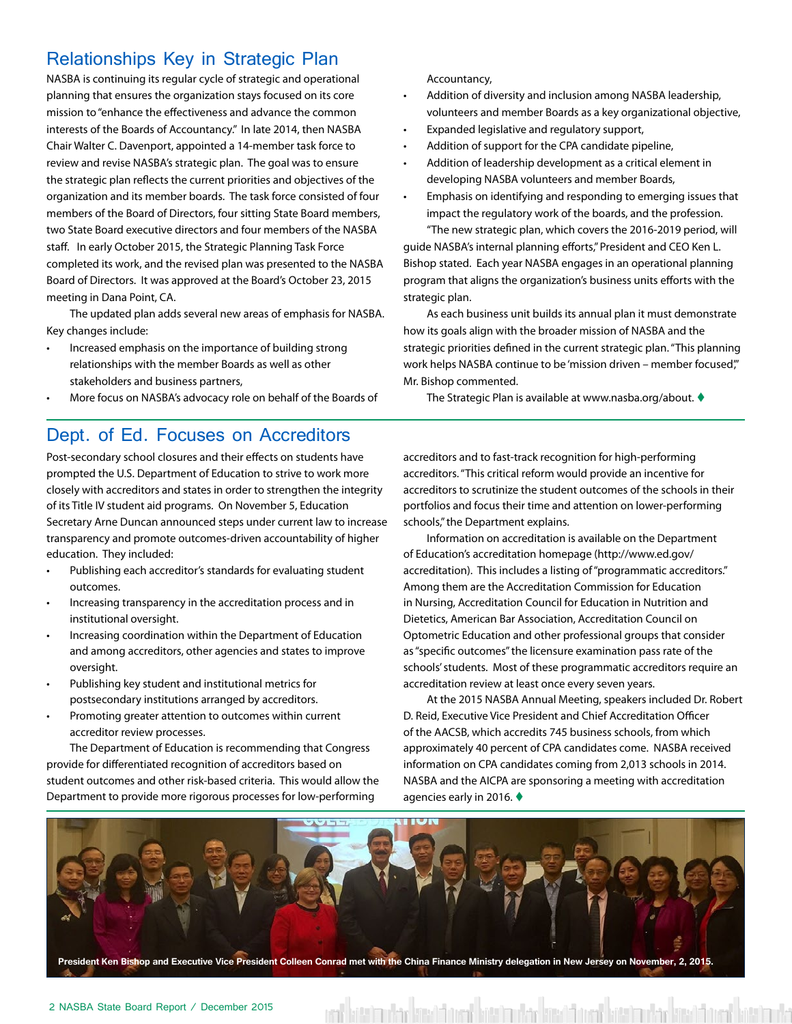### Relationships Key in Strategic Plan

NASBA is continuing its regular cycle of strategic and operational planning that ensures the organization stays focused on its core mission to "enhance the effectiveness and advance the common interests of the Boards of Accountancy." In late 2014, then NASBA Chair Walter C. Davenport, appointed a 14-member task force to review and revise NASBA's strategic plan. The goal was to ensure the strategic plan reflects the current priorities and objectives of the organization and its member boards. The task force consisted of four members of the Board of Directors, four sitting State Board members, two State Board executive directors and four members of the NASBA staff. In early October 2015, the Strategic Planning Task Force completed its work, and the revised plan was presented to the NASBA Board of Directors. It was approved at the Board's October 23, 2015 meeting in Dana Point, CA.

The updated plan adds several new areas of emphasis for NASBA. Key changes include:

- Increased emphasis on the importance of building strong relationships with the member Boards as well as other stakeholders and business partners,
- More focus on NASBA's advocacy role on behalf of the Boards of

#### Dept. of Ed. Focuses on Accreditors

Post-secondary school closures and their effects on students have prompted the U.S. Department of Education to strive to work more closely with accreditors and states in order to strengthen the integrity of its Title IV student aid programs. On November 5, Education Secretary Arne Duncan announced steps under current law to increase transparency and promote outcomes-driven accountability of higher education. They included:

- Publishing each accreditor's standards for evaluating student outcomes.
- Increasing transparency in the accreditation process and in institutional oversight.
- Increasing coordination within the Department of Education and among accreditors, other agencies and states to improve oversight.
- Publishing key student and institutional metrics for postsecondary institutions arranged by accreditors.
- Promoting greater attention to outcomes within current accreditor review processes.

The Department of Education is recommending that Congress provide for differentiated recognition of accreditors based on student outcomes and other risk-based criteria. This would allow the Department to provide more rigorous processes for low-performing

Accountancy,

- Addition of diversity and inclusion among NASBA leadership, volunteers and member Boards as a key organizational objective,
- Expanded legislative and regulatory support,
- Addition of support for the CPA candidate pipeline,
- Addition of leadership development as a critical element in developing NASBA volunteers and member Boards,
- Emphasis on identifying and responding to emerging issues that impact the regulatory work of the boards, and the profession. "The new strategic plan, which covers the 2016-2019 period, will

guide NASBA's internal planning efforts," President and CEO Ken L. Bishop stated. Each year NASBA engages in an operational planning program that aligns the organization's business units efforts with the strategic plan.

As each business unit builds its annual plan it must demonstrate how its goals align with the broader mission of NASBA and the strategic priorities defined in the current strategic plan. "This planning work helps NASBA continue to be 'mission driven – member focused'," Mr. Bishop commented.

The Strategic Plan is available at www.nasba.org/about. ♦

accreditors and to fast-track recognition for high-performing accreditors. "This critical reform would provide an incentive for accreditors to scrutinize the student outcomes of the schools in their portfolios and focus their time and attention on lower-performing schools," the Department explains.

Information on accreditation is available on the Department of Education's accreditation homepage (http://www.ed.gov/ accreditation). This includes a listing of "programmatic accreditors." Among them are the Accreditation Commission for Education in Nursing, Accreditation Council for Education in Nutrition and Dietetics, American Bar Association, Accreditation Council on Optometric Education and other professional groups that consider as "specific outcomes" the licensure examination pass rate of the schools' students. Most of these programmatic accreditors require an accreditation review at least once every seven years.

At the 2015 NASBA Annual Meeting, speakers included Dr. Robert D. Reid, Executive Vice President and Chief Accreditation Officer of the AACSB, which accredits 745 business schools, from which approximately 40 percent of CPA candidates come. NASBA received information on CPA candidates coming from 2,013 schools in 2014. NASBA and the AICPA are sponsoring a meeting with accreditation agencies early in 2016.  $\blacklozenge$ 

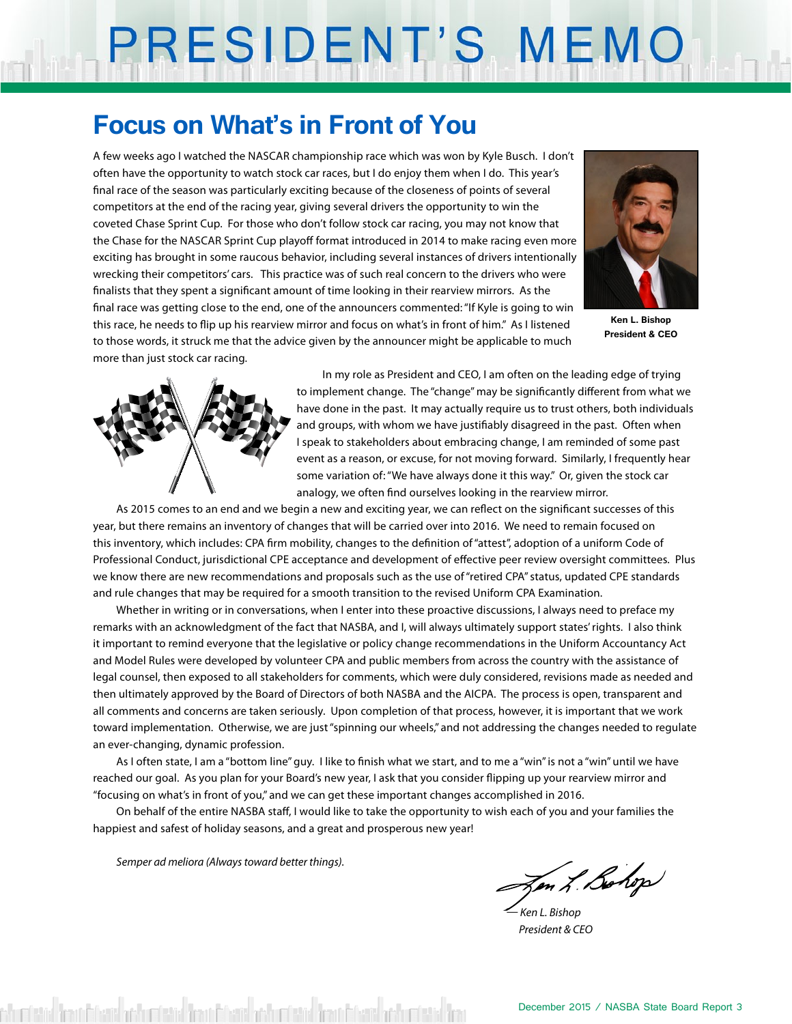# PRESIDENT'S MEMO

### **Focus on What's in Front of You**

A few weeks ago I watched the NASCAR championship race which was won by Kyle Busch. I don't often have the opportunity to watch stock car races, but I do enjoy them when I do. This year's final race of the season was particularly exciting because of the closeness of points of several competitors at the end of the racing year, giving several drivers the opportunity to win the coveted Chase Sprint Cup. For those who don't follow stock car racing, you may not know that the Chase for the NASCAR Sprint Cup playoff format introduced in 2014 to make racing even more exciting has brought in some raucous behavior, including several instances of drivers intentionally wrecking their competitors' cars. This practice was of such real concern to the drivers who were finalists that they spent a significant amount of time looking in their rearview mirrors. As the final race was getting close to the end, one of the announcers commented: "If Kyle is going to win this race, he needs to flip up his rearview mirror and focus on what's in front of him." As I listened to those words, it struck me that the advice given by the announcer might be applicable to much more than just stock car racing.



**Ken L. Bishop President & CEO**



 In my role as President and CEO, I am often on the leading edge of trying to implement change. The "change" may be significantly different from what we have done in the past. It may actually require us to trust others, both individuals and groups, with whom we have justifiably disagreed in the past. Often when I speak to stakeholders about embracing change, I am reminded of some past event as a reason, or excuse, for not moving forward. Similarly, I frequently hear some variation of: "We have always done it this way." Or, given the stock car analogy, we often find ourselves looking in the rearview mirror.

As 2015 comes to an end and we begin a new and exciting year, we can reflect on the significant successes of this year, but there remains an inventory of changes that will be carried over into 2016. We need to remain focused on this inventory, which includes: CPA firm mobility, changes to the definition of "attest", adoption of a uniform Code of Professional Conduct, jurisdictional CPE acceptance and development of effective peer review oversight committees. Plus we know there are new recommendations and proposals such as the use of "retired CPA" status, updated CPE standards and rule changes that may be required for a smooth transition to the revised Uniform CPA Examination.

Whether in writing or in conversations, when I enter into these proactive discussions, I always need to preface my remarks with an acknowledgment of the fact that NASBA, and I, will always ultimately support states' rights. I also think it important to remind everyone that the legislative or policy change recommendations in the Uniform Accountancy Act and Model Rules were developed by volunteer CPA and public members from across the country with the assistance of legal counsel, then exposed to all stakeholders for comments, which were duly considered, revisions made as needed and then ultimately approved by the Board of Directors of both NASBA and the AICPA. The process is open, transparent and all comments and concerns are taken seriously. Upon completion of that process, however, it is important that we work toward implementation. Otherwise, we are just "spinning our wheels," and not addressing the changes needed to regulate an ever-changing, dynamic profession.

As I often state, I am a "bottom line" guy. I like to finish what we start, and to me a "win" is not a "win" until we have reached our goal. As you plan for your Board's new year, I ask that you consider flipping up your rearview mirror and "focusing on what's in front of you," and we can get these important changes accomplished in 2016.

On behalf of the entire NASBA staff, I would like to take the opportunity to wish each of you and your families the happiest and safest of holiday seasons, and a great and prosperous new year!

*Semper ad meliora (Always toward better things).*

Zen L. Bohop

*— Ken L. Bishop President & CEO*

shumberida dimantikani kashumberida dan di finansi adalar birani da barat da barat sebuah kashumberida dan